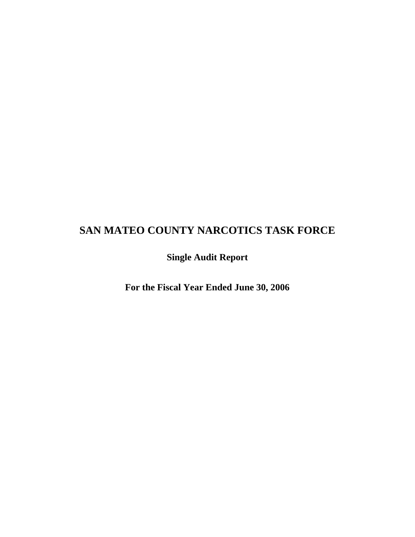# **SAN MATEO COUNTY NARCOTICS TASK FORCE**

**Single Audit Report** 

**For the Fiscal Year Ended June 30, 2006**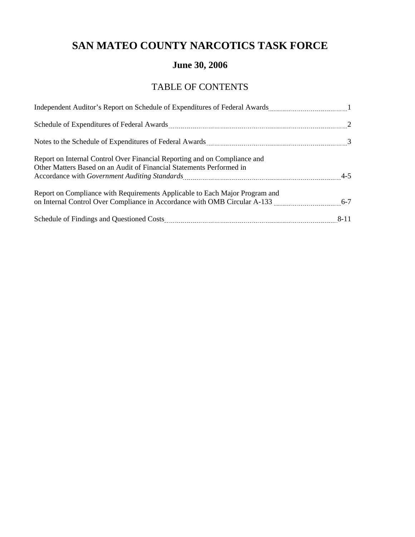# **SAN MATEO COUNTY NARCOTICS TASK FORCE**

## **June 30, 2006**

## TABLE OF CONTENTS

| Independent Auditor's Report on Schedule of Expenditures of Federal Awards [1001] [10] Independent Auditor's Report on Schedule of Expenditures of Federal Awards                                                                                                                                                                                                                   |          |
|-------------------------------------------------------------------------------------------------------------------------------------------------------------------------------------------------------------------------------------------------------------------------------------------------------------------------------------------------------------------------------------|----------|
|                                                                                                                                                                                                                                                                                                                                                                                     |          |
| Notes to the Schedule of Expenditures of Federal Awards [11] Motel and Schedule 13 and Schedule 3                                                                                                                                                                                                                                                                                   |          |
| Report on Internal Control Over Financial Reporting and on Compliance and<br>Other Matters Based on an Audit of Financial Statements Performed in<br>Accordance with Government Auditing Standards [11] Accordance with Government Auditing Standards [11] Accordance with Government Auditing Standards [11] Accordance with Government Auditing Standards [11] Accordance with Go |          |
| Report on Compliance with Requirements Applicable to Each Major Program and<br>on Internal Control Over Compliance in Accordance with OMB Circular A-133 [2013] [6-7] 6-7                                                                                                                                                                                                           |          |
|                                                                                                                                                                                                                                                                                                                                                                                     | $8 - 11$ |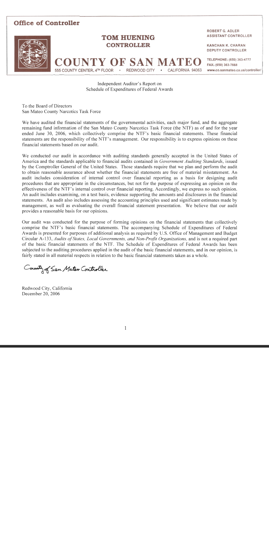

Independent Auditor's Report on Schedule of Expenditures of Federal Awards

To the Board of Directors San Mateo County Narcotics Task Force

We have audited the financial statements of the governmental activities, each major fund, and the aggregate remaining fund information of the San Mateo County Narcotics Task Force (the NTF) as of and for the year ended June 30, 2006, which collectively comprise the NTF's basic financial statements. These financial statements are the responsibility of the NTF's management. Our responsibility is to express opinions on these financial statements based on our audit.

We conducted our audit in accordance with auditing standards generally accepted in the United States of America and the standards applicable to financial audits contained in *Government Auditing Standards*, issued by the Comptroller General of the United States. Those standards require that we plan and perform the audit to obtain reasonable assurance about whether the financial statements are free of material misstatement. An audit includes consideration of internal control over financial reporting as a basis for designing audit procedures that are appropriate in the circumstances, but not for the purpose of expressing an opinion on the effectiveness of the NTF's internal control over financial reporting. Accordingly, we express no such opinion. An audit includes examining, on a test basis, evidence supporting the amounts and disclosures in the financial statements. An audit also includes assessing the accounting principles used and significant estimates made by management, as well as evaluating the overall financial statement presentation. We believe that our audit provides a reasonable basis for our opinions.

Our audit was conducted for the purpose of forming opinions on the financial statements that collectively comprise the NTF's basic financial statements. The accompanying Schedule of Expenditures of Federal Awards is presented for purposes of additional analysis as required by U.S. Office of Management and Budget Circular A-133, Audits of States, Local Governments, and Non-Profit Organizations, and is not a required part of the basic financial statements of the NTF. The Schedule of Expenditures of Federal Awards has been subjected to the auditing procedures applied in the audit of the basic financial statements, and in our opinion, is fairly stated in all material respects in relation to the basic financial statements taken as a whole.

County of San Mateo Controller

Redwood City, California December 20, 2006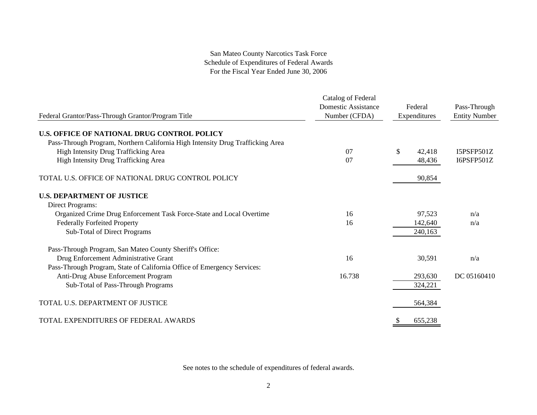## San Mateo County Narcotics Task Force Schedule of Expenditures of Federal Awards For the Fiscal Year Ended June 30, 2006

| Federal Grantor/Pass-Through Grantor/Program Title                             | Catalog of Federal<br><b>Domestic Assistance</b><br>Number (CFDA) | Federal<br>Expenditures | Pass-Through<br><b>Entity Number</b> |
|--------------------------------------------------------------------------------|-------------------------------------------------------------------|-------------------------|--------------------------------------|
|                                                                                |                                                                   |                         |                                      |
| U.S. OFFICE OF NATIONAL DRUG CONTROL POLICY                                    |                                                                   |                         |                                      |
| Pass-Through Program, Northern California High Intensity Drug Trafficking Area |                                                                   |                         |                                      |
| High Intensity Drug Trafficking Area                                           | 07                                                                | \$<br>42,418            | I5PSFP501Z                           |
| High Intensity Drug Trafficking Area                                           | 07                                                                | 48,436                  | I6PSFP501Z                           |
| TOTAL U.S. OFFICE OF NATIONAL DRUG CONTROL POLICY                              |                                                                   | 90,854                  |                                      |
| <b>U.S. DEPARTMENT OF JUSTICE</b>                                              |                                                                   |                         |                                      |
| Direct Programs:                                                               |                                                                   |                         |                                      |
| Organized Crime Drug Enforcement Task Force-State and Local Overtime           | 16                                                                | 97,523                  | n/a                                  |
| <b>Federally Forfeited Property</b>                                            | 16                                                                | 142,640                 | n/a                                  |
| Sub-Total of Direct Programs                                                   |                                                                   | 240,163                 |                                      |
| Pass-Through Program, San Mateo County Sheriff's Office:                       |                                                                   |                         |                                      |
| Drug Enforcement Administrative Grant                                          | 16                                                                | 30,591                  | n/a                                  |
| Pass-Through Program, State of California Office of Emergency Services:        |                                                                   |                         |                                      |
| Anti-Drug Abuse Enforcement Program                                            | 16.738                                                            | 293,630                 | DC 05160410                          |
| Sub-Total of Pass-Through Programs                                             |                                                                   | 324,221                 |                                      |
| TOTAL U.S. DEPARTMENT OF JUSTICE                                               |                                                                   | 564,384                 |                                      |
| <b>TOTAL EXPENDITURES OF FEDERAL AWARDS</b>                                    |                                                                   | \$<br>655,238           |                                      |

See notes to the schedule of expenditures of federal awards.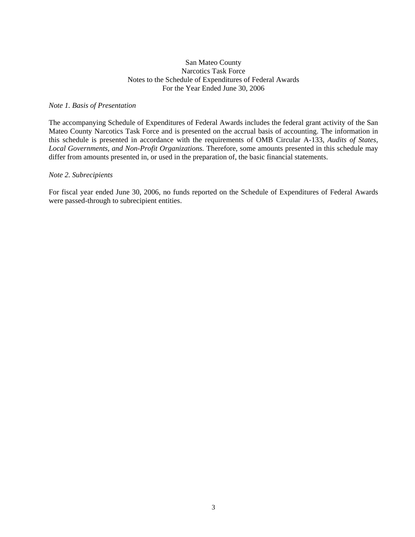## San Mateo County Narcotics Task Force Notes to the Schedule of Expenditures of Federal Awards For the Year Ended June 30, 2006

#### *Note 1. Basis of Presentation*

The accompanying Schedule of Expenditures of Federal Awards includes the federal grant activity of the San Mateo County Narcotics Task Force and is presented on the accrual basis of accounting. The information in this schedule is presented in accordance with the requirements of OMB Circular A-133, *Audits of States, Local Governments, and Non-Profit Organizations.* Therefore, some amounts presented in this schedule may differ from amounts presented in, or used in the preparation of, the basic financial statements.

### *Note 2. Subrecipients*

For fiscal year ended June 30, 2006, no funds reported on the Schedule of Expenditures of Federal Awards were passed-through to subrecipient entities.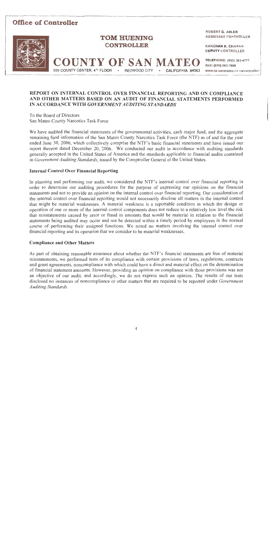

## REPORT ON INTERNAL CONTROL OVER FINANCIAL REPORTING AND ON COMPLIANCE AND OTHER MATTERS BASED ON AN AUDIT OF FINANCIAL STATEMENTS PERFORMED IN ACCORDANCE WITH GOVERNMENT AUDITING STANDARDS

To the Board of Directors San Mateo County Narcotics Task Force

We have audited the financial statements of the governmental activities, each major fund, and the aggregate remaining fund information of the San Mateo County Narcotics Task Force (the NTF) as of and for the year ended June 30, 2006, which collectively comprise the NTF's basic financial statements and have issued our report thereon dated December 20, 2006. We conducted our audit in accordance with auditing standards generally accepted in the United States of America and the standards applicable to financial audits contained in Government Auditing Standards, issued by the Comptroller General of the United States.

#### **Internal Control Over Financial Reporting**

In planning and performing our audit, we considered the NTF's internal control over financial reporting in order to determine our auditing procedures for the purpose of expressing our opinions on the financial statements and not to provide an opinion on the internal control over financial reporting. Our consideration of the internal control over financial reporting would not necessarily disclose all matters in the internal control that might be material weaknesses. A material weakness is a reportable condition in which the design or operation of one or more of the internal control components does not reduce to a relatively low level the risk that misstatements caused by error or fraud in amounts that would be material in relation to the financial statements being audited may occur and not be detected within a timely period by employees in the normal course of performing their assigned functions. We noted no matters involving the internal control over financial reporting and its operation that we consider to be material weaknesses.

#### **Compliance and Other Matters**

As part of obtaining reasonable assurance about whether the NTF's financial statements are free of material misstatements, we performed tests of its compliance with certain provisions of laws, regulations, contracts and grant agreements, noncompliance with which could have a direct and material effect on the determination of financial statement amounts. However, providing an opinion on compliance with those provisions was not an objective of our audit, and accordingly, we do not express such an opinion. The results of our tests disclosed no instances of noncompliance or other matters that are required to be reported under Government **Auditing Standards.**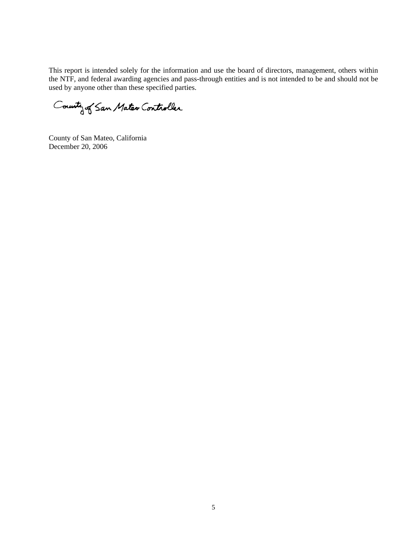This report is intended solely for the information and use the board of directors, management, others within the NTF, and federal awarding agencies and pass-through entities and is not intended to be and should not be used by anyone other than these specified parties.

County of San Mateo Controller

County of San Mateo, California December 20, 2006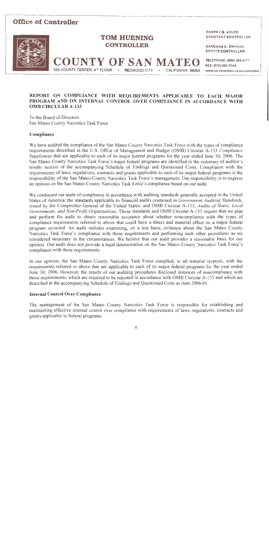

## REPORT ON COMPLIANCE WITH REQUIREMENTS APPLICABLE TO EACH MAJOR PROGRAM AND ON INTERNAL CONTROL OVER COMPLIANCE IN ACCORDANCE WITH **OMB CIRCULAR A-133**

To the Board of Directors San Mateo County Narcotics Task Force

#### Compliance

We have audited the compliance of the San Mateo County Narcotics Task Force with the types of compliance requirements described in the U.S. Office of Management and Budget (OMB) Circular A-133 Compliance Supplement that are applicable to each of its major federal programs for the year ended June 30, 2006. The San Mateo County Narcotics Task Force's major federal programs are identified in the summary of auditor's results section of the accompanying Schedule of Findings and Questioned Costs. Compliance with the requirements of laws, regulations, contracts and grants applicable to each of its major federal programs is the responsibility of the San Mateo County Narcotics Task Force's management. Our responsibility is to express an opinion on the San Mateo County Narcotics Task Force's compliance based on our audit.

We conducted our audit of compliance in accordance with auditing standards generally accepted in the United States of America; the standards applicable to financial audits contained in *Government Auditing Standards*, issued by the Comptroller General of the United States; and OMB Circular A-133, Audits of States, Local Governments, and Non-Profit Organizations. Those standards and OMB Circular A-133 require that we plan and perform the audit to obtain reasonable assurance about whether noncompliance with the types of compliance requirements referred to above that could have a direct and material effect on a major federal program occurred. An audit includes examining, on a test basis, evidence about the San Mateo County Narcotics Task Force's compliance with those requirements and performing such other procedures as we considered necessary in the circumstances. We believe that our audit provides a reasonable basis for our opinion. Our audit does not provide a legal determination on the San Mateo County Narcotics Task Force's compliance with those requirements.

In our opinion, the San Mateo County Narcotics Task Force complied, in all material respects, with the requirements referred to above that are applicable to each of its major federal programs for the year ended June 30, 2006. However, the results of our auditing procedures disclosed instances of noncompliance with those requirements, which are required to be reported in accordance with OMB Circular A-133 and which are described in the accompanying Schedule of Findings and Questioned Costs as item 2006-01.

#### **Internal Control Over Compliance**

The management of the San Mateo County Narcotics Task Force is responsible for establishing and maintaining effective internal control over compliance with requirements of laws, regulations, contracts and grants applicable to federal programs.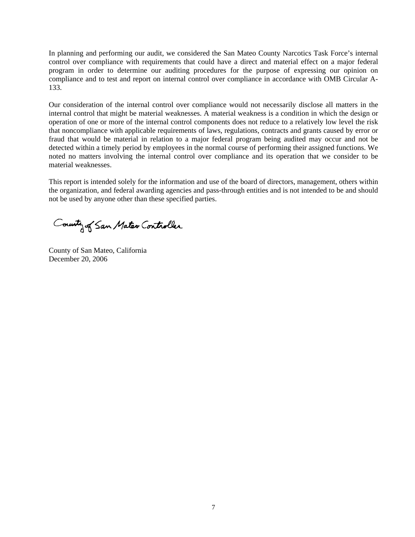In planning and performing our audit, we considered the San Mateo County Narcotics Task Force's internal control over compliance with requirements that could have a direct and material effect on a major federal program in order to determine our auditing procedures for the purpose of expressing our opinion on compliance and to test and report on internal control over compliance in accordance with OMB Circular A-133.

Our consideration of the internal control over compliance would not necessarily disclose all matters in the internal control that might be material weaknesses. A material weakness is a condition in which the design or operation of one or more of the internal control components does not reduce to a relatively low level the risk that noncompliance with applicable requirements of laws, regulations, contracts and grants caused by error or fraud that would be material in relation to a major federal program being audited may occur and not be detected within a timely period by employees in the normal course of performing their assigned functions. We noted no matters involving the internal control over compliance and its operation that we consider to be material weaknesses.

This report is intended solely for the information and use of the board of directors, management, others within the organization, and federal awarding agencies and pass-through entities and is not intended to be and should not be used by anyone other than these specified parties.

County of San Mateo Controller

County of San Mateo, California December 20, 2006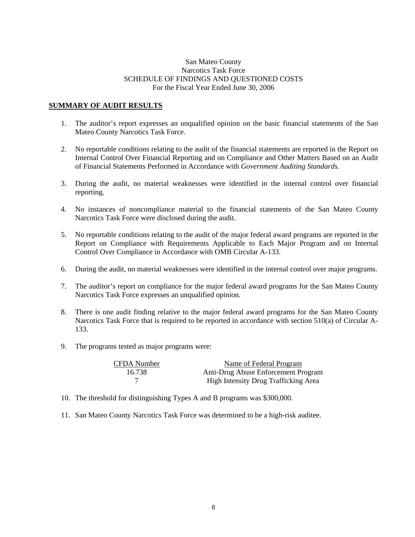## San Mateo County Narcotics Task Force SCHEDULE OF FINDINGS AND QUESTIONED COSTS For the Fiscal Year Ended June 30, 2006

### **SUMMARY OF AUDIT RESULTS**

- 1. The auditor's report expresses an unqualified opinion on the basic financial statements of the San Mateo County Narcotics Task Force.
- 2. No reportable conditions relating to the audit of the financial statements are reported in the Report on Internal Control Over Financial Reporting and on Compliance and Other Matters Based on an Audit of Financial Statements Performed in Accordance with *Government Auditing Standards.*
- 3. During the audit, no material weaknesses were identified in the internal control over financial reporting.
- 4. No instances of noncompliance material to the financial statements of the San Mateo County Narcotics Task Force were disclosed during the audit.
- 5. No reportable conditions relating to the audit of the major federal award programs are reported in the Report on Compliance with Requirements Applicable to Each Major Program and on Internal Control Over Compliance in Accordance with OMB Circular A-133.
- 6. During the audit, no material weaknesses were identified in the internal control over major programs.
- 7. The auditor's report on compliance for the major federal award programs for the San Mateo County Narcotics Task Force expresses an unqualified opinion.
- 8. There is one audit finding relative to the major federal award programs for the San Mateo County Narcotics Task Force that is required to be reported in accordance with section 510(a) of Circular A-133.
- 9. The programs tested as major programs were:

| CFDA Number | Name of Federal Program              |
|-------------|--------------------------------------|
| 16.738      | Anti-Drug Abuse Enforcement Program  |
|             | High Intensity Drug Trafficking Area |

- 10. The threshold for distinguishing Types A and B programs was \$300,000.
- 11. San Mateo County Narcotics Task Force was determined to be a high-risk auditee.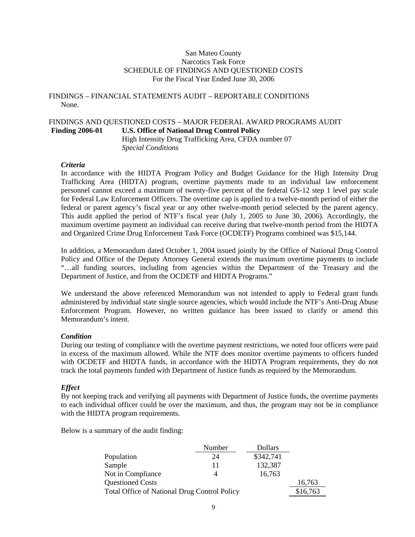### San Mateo County Narcotics Task Force SCHEDULE OF FINDINGS AND QUESTIONED COSTS For the Fiscal Year Ended June 30, 2006

## FINDINGS – FINANCIAL STATEMENTS AUDIT – REPORTABLE CONDITIONS None.

### FINDINGS AND QUESTIONED COSTS – MAJOR FEDERAL AWARD PROGRAMS AUDIT **Finding 2006-01 U.S. Office of National Drug Control Policy**  High Intensity Drug Trafficking Area, CFDA number 07

*Special Conditions* 

## *Criteria*

In accordance with the HIDTA Program Policy and Budget Guidance for the High Intensity Drug Trafficking Area (HIDTA) program, overtime payments made to an individual law enforcement personnel cannot exceed a maximum of twenty-five percent of the federal GS-12 step 1 level pay scale for Federal Law Enforcement Officers. The overtime cap is applied to a twelve-month period of either the federal or parent agency's fiscal year or any other twelve-month period selected by the parent agency. This audit applied the period of NTF's fiscal year (July 1, 2005 to June 30, 2006). Accordingly, the maximum overtime payment an individual can receive during that twelve-month period from the HIDTA and Organized Crime Drug Enforcement Task Force (OCDETF) Programs combined was \$15,144.

In addition, a Memorandum dated October 1, 2004 issued jointly by the Office of National Drug Control Policy and Office of the Deputy Attorney General extends the maximum overtime payments to include "…all funding sources, including from agencies within the Department of the Treasury and the Department of Justice, and from the OCDETF and HIDTA Programs."

We understand the above referenced Memorandum was not intended to apply to Federal grant funds administered by individual state single source agencies, which would include the NTF's Anti-Drug Abuse Enforcement Program. However, no written guidance has been issued to clarify or amend this Memorandum's intent.

## *Condition*

During our testing of compliance with the overtime payment restrictions, we noted four officers were paid in excess of the maximum allowed. While the NTF does monitor overtime payments to officers funded with OCDETF and HIDTA funds, in accordance with the HIDTA Program requirements, they do not track the total payments funded with Department of Justice funds as required by the Memorandum.

## *Effect*

By not keeping track and verifying all payments with Department of Justice funds, the overtime payments to each individual officer could be over the maximum, and thus, the program may not be in compliance with the HIDTA program requirements.

Below is a summary of the audit finding:

|                                              | Number   | <b>Dollars</b> |        |
|----------------------------------------------|----------|----------------|--------|
| Population                                   | 24       | \$342,741      |        |
| Sample                                       | 11       | 132,387        |        |
| Not in Compliance                            |          | 16,763         |        |
| <b>Questioned Costs</b>                      |          |                | 16,763 |
| Total Office of National Drug Control Policy | \$16,763 |                |        |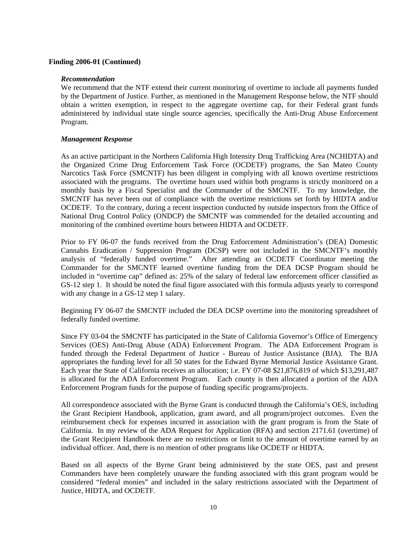## **Finding 2006-01 (Continued)**

#### *Recommendation*

We recommend that the NTF extend their current monitoring of overtime to include all payments funded by the Department of Justice. Further, as mentioned in the Management Response below, the NTF should obtain a written exemption, in respect to the aggregate overtime cap, for their Federal grant funds administered by individual state single source agencies, specifically the Anti-Drug Abuse Enforcement Program.

### *Management Response*

As an active participant in the Northern California High Intensity Drug Trafficking Area (NCHIDTA) and the Organized Crime Drug Enforcement Task Force (OCDETF) programs, the San Mateo County Narcotics Task Force (SMCNTF) has been diligent in complying with all known overtime restrictions associated with the programs. The overtime hours used within both programs is strictly monitored on a monthly basis by a Fiscal Specialist and the Commander of the SMCNTF. To my knowledge, the SMCNTF has never been out of compliance with the overtime restrictions set forth by HIDTA and/or OCDETF. To the contrary, during a recent inspection conducted by outside inspectors from the Office of National Drug Control Policy (ONDCP) the SMCNTF was commended for the detailed accounting and monitoring of the combined overtime hours between HIDTA and OCDETF.

Prior to FY 06-07 the funds received from the Drug Enforcement Administration's (DEA) Domestic Cannabis Eradication / Suppression Program (DCSP) were not included in the SMCNTF's monthly analysis of "federally funded overtime." After attending an OCDETF Coordinator meeting the Commander for the SMCNTF learned overtime funding from the DEA DCSP Program should be included in "overtime cap" defined as: 25% of the salary of federal law enforcement officer classified as GS-12 step 1. It should be noted the final figure associated with this formula adjusts yearly to correspond with any change in a GS-12 step 1 salary.

Beginning FY 06-07 the SMCNTF included the DEA DCSP overtime into the monitoring spreadsheet of federally funded overtime.

Since FY 03-04 the SMCNTF has participated in the State of California Governor's Office of Emergency Services (OES) Anti-Drug Abuse (ADA) Enforcement Program. The ADA Enforcement Program is funded through the Federal Department of Justice - Bureau of Justice Assistance (BJA). The BJA appropriates the funding level for all 50 states for the Edward Byrne Memorial Justice Assistance Grant. Each year the State of California receives an allocation; i.e. FY 07-08 \$21,876,819 of which \$13,291,487 is allocated for the ADA Enforcement Program. Each county is then allocated a portion of the ADA Enforcement Program funds for the purpose of funding specific programs/projects.

All correspondence associated with the Byrne Grant is conducted through the California's OES, including the Grant Recipient Handbook, application, grant award, and all program/project outcomes. Even the reimbursement check for expenses incurred in association with the grant program is from the State of California. In my review of the ADA Request for Application (RFA) and section 2171.61 (overtime) of the Grant Recipient Handbook there are no restrictions or limit to the amount of overtime earned by an individual officer. And, there is no mention of other programs like OCDETF or HIDTA.

Based on all aspects of the Byrne Grant being administered by the state OES, past and present Commanders have been completely unaware the funding associated with this grant program would be considered "federal monies" and included in the salary restrictions associated with the Department of Justice, HIDTA, and OCDETF.